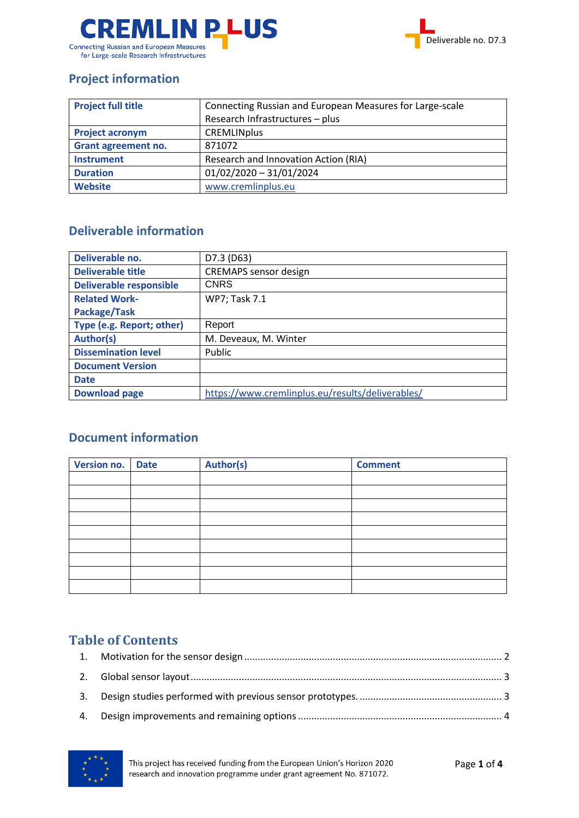



## **Project information**

| <b>Project full title</b> | Connecting Russian and European Measures for Large-scale |  |
|---------------------------|----------------------------------------------------------|--|
|                           | Research Infrastructures - plus                          |  |
| <b>Project acronym</b>    | <b>CREMLINplus</b>                                       |  |
| Grant agreement no.       | 871072                                                   |  |
| <b>Instrument</b>         | Research and Innovation Action (RIA)                     |  |
| <b>Duration</b>           | $01/02/2020 - 31/01/2024$                                |  |
| <b>Website</b>            | www.cremlinplus.eu                                       |  |

### **Deliverable information**

| Deliverable no.                | D7.3 (D63)                                       |
|--------------------------------|--------------------------------------------------|
| <b>Deliverable title</b>       | <b>CREMAPS</b> sensor design                     |
| <b>Deliverable responsible</b> | <b>CNRS</b>                                      |
| <b>Related Work-</b>           | WP7; Task 7.1                                    |
| Package/Task                   |                                                  |
| Type (e.g. Report; other)      | Report                                           |
| Author(s)                      | M. Deveaux, M. Winter                            |
| <b>Dissemination level</b>     | Public                                           |
| <b>Document Version</b>        |                                                  |
| <b>Date</b>                    |                                                  |
| <b>Download page</b>           | https://www.cremlinplus.eu/results/deliverables/ |

## **Document information**

| Version no. Date | <b>Author(s)</b> | <b>Comment</b> |
|------------------|------------------|----------------|
|                  |                  |                |
|                  |                  |                |
|                  |                  |                |
|                  |                  |                |
|                  |                  |                |
|                  |                  |                |
|                  |                  |                |
|                  |                  |                |
|                  |                  |                |

## **Table of Contents**

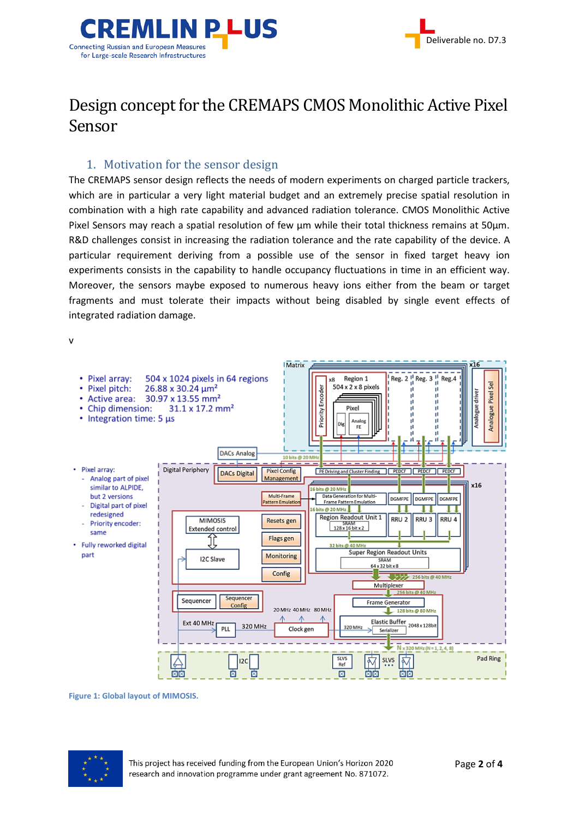

# Design concept for the CREMAPS CMOS Monolithic Active Pixel Sensor

#### 1. Motivation for the sensor design

<span id="page-1-0"></span>The CREMAPS sensor design reflects the needs of modern experiments on charged particle trackers, which are in particular a very light material budget and an extremely precise spatial resolution in combination with a high rate capability and advanced radiation tolerance. CMOS Monolithic Active Pixel Sensors may reach a spatial resolution of few um while their total thickness remains at 50um. R&D challenges consist in increasing the radiation tolerance and the rate capability of the device. A particular requirement deriving from a possible use of the sensor in fixed target heavy ion experiments consists in the capability to handle occupancy fluctuations in time in an efficient way. Moreover, the sensors maybe exposed to numerous heavy ions either from the beam or target fragments and must tolerate their impacts without being disabled by single event effects of integrated radiation damage.



<span id="page-1-1"></span>**Figure 1: Global layout of MIMOSIS.**

![](_page_1_Picture_7.jpeg)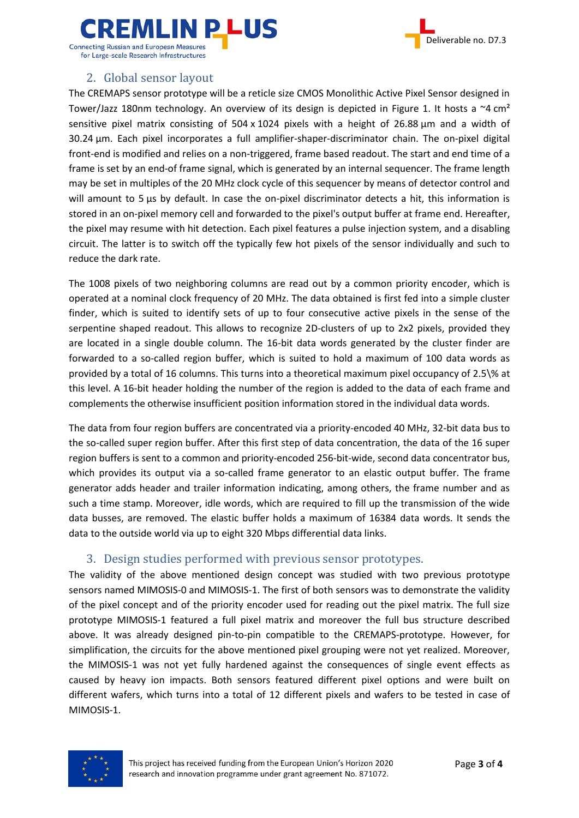![](_page_2_Picture_0.jpeg)

![](_page_2_Picture_1.jpeg)

#### for Large-scale Research Infrastructures

#### 2. Global sensor layout

<span id="page-2-0"></span>The CREMAPS sensor prototype will be a reticle size CMOS Monolithic Active Pixel Sensor designed in Tower/Jazz 180nm technology. An overview of its design is depicted in [Figure 1.](#page-1-1) It hosts a  $\sim$ 4 cm<sup>2</sup> sensitive pixel matrix consisting of  $504 \times 1024$  pixels with a height of 26.88 um and a width of 30.24 µm. Each pixel incorporates a full amplifier-shaper-discriminator chain. The on-pixel digital front-end is modified and relies on a non-triggered, frame based readout. The start and end time of a frame is set by an end-of frame signal, which is generated by an internal sequencer. The frame length may be set in multiples of the 20 MHz clock cycle of this sequencer by means of detector control and will amount to 5 us by default. In case the on-pixel discriminator detects a hit, this information is stored in an on-pixel memory cell and forwarded to the pixel's output buffer at frame end. Hereafter, the pixel may resume with hit detection. Each pixel features a pulse injection system, and a disabling circuit. The latter is to switch off the typically few hot pixels of the sensor individually and such to reduce the dark rate.

The 1008 pixels of two neighboring columns are read out by a common priority encoder, which is operated at a nominal clock frequency of 20 MHz. The data obtained is first fed into a simple cluster finder, which is suited to identify sets of up to four consecutive active pixels in the sense of the serpentine shaped readout. This allows to recognize 2D-clusters of up to 2x2 pixels, provided they are located in a single double column. The 16-bit data words generated by the cluster finder are forwarded to a so-called region buffer, which is suited to hold a maximum of 100 data words as provided by a total of 16 columns. This turns into a theoretical maximum pixel occupancy of 2.5\% at this level. A 16-bit header holding the number of the region is added to the data of each frame and complements the otherwise insufficient position information stored in the individual data words.

The data from four region buffers are concentrated via a priority-encoded 40 MHz, 32-bit data bus to the so-called super region buffer. After this first step of data concentration, the data of the 16 super region buffers is sent to a common and priority-encoded 256-bit-wide, second data concentrator bus, which provides its output via a so-called frame generator to an elastic output buffer. The frame generator adds header and trailer information indicating, among others, the frame number and as such a time stamp. Moreover, idle words, which are required to fill up the transmission of the wide data busses, are removed. The elastic buffer holds a maximum of 16384 data words. It sends the data to the outside world via up to eight 320 Mbps differential data links.

#### 3. Design studies performed with previous sensor prototypes.

<span id="page-2-1"></span>The validity of the above mentioned design concept was studied with two previous prototype sensors named MIMOSIS-0 and MIMOSIS-1. The first of both sensors was to demonstrate the validity of the pixel concept and of the priority encoder used for reading out the pixel matrix. The full size prototype MIMOSIS-1 featured a full pixel matrix and moreover the full bus structure described above. It was already designed pin-to-pin compatible to the CREMAPS-prototype. However, for simplification, the circuits for the above mentioned pixel grouping were not yet realized. Moreover, the MIMOSIS-1 was not yet fully hardened against the consequences of single event effects as caused by heavy ion impacts. Both sensors featured different pixel options and were built on different wafers, which turns into a total of 12 different pixels and wafers to be tested in case of MIMOSIS-1.

![](_page_2_Picture_9.jpeg)